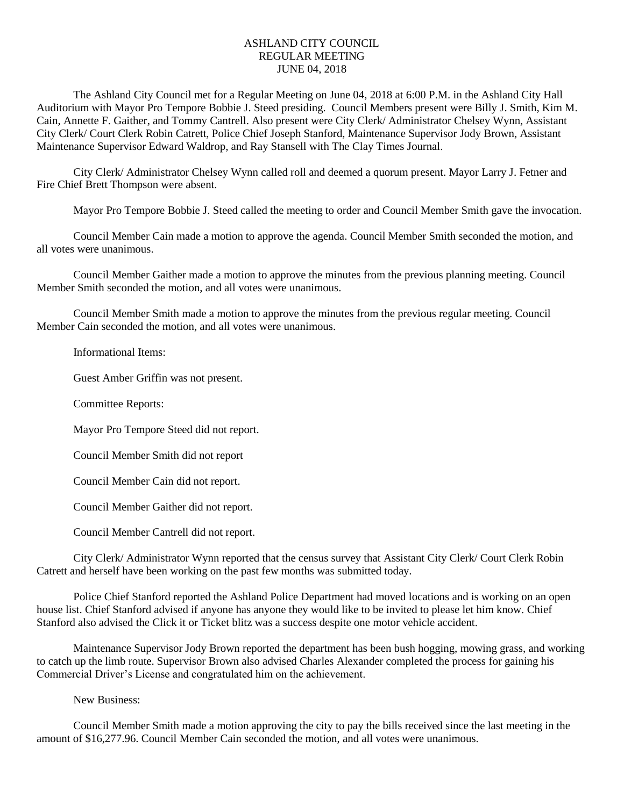## ASHLAND CITY COUNCIL REGULAR MEETING JUNE 04, 2018

The Ashland City Council met for a Regular Meeting on June 04, 2018 at 6:00 P.M. in the Ashland City Hall Auditorium with Mayor Pro Tempore Bobbie J. Steed presiding. Council Members present were Billy J. Smith, Kim M. Cain, Annette F. Gaither, and Tommy Cantrell. Also present were City Clerk/ Administrator Chelsey Wynn, Assistant City Clerk/ Court Clerk Robin Catrett, Police Chief Joseph Stanford, Maintenance Supervisor Jody Brown, Assistant Maintenance Supervisor Edward Waldrop, and Ray Stansell with The Clay Times Journal.

City Clerk/ Administrator Chelsey Wynn called roll and deemed a quorum present. Mayor Larry J. Fetner and Fire Chief Brett Thompson were absent.

Mayor Pro Tempore Bobbie J. Steed called the meeting to order and Council Member Smith gave the invocation.

Council Member Cain made a motion to approve the agenda. Council Member Smith seconded the motion, and all votes were unanimous.

Council Member Gaither made a motion to approve the minutes from the previous planning meeting. Council Member Smith seconded the motion, and all votes were unanimous.

Council Member Smith made a motion to approve the minutes from the previous regular meeting. Council Member Cain seconded the motion, and all votes were unanimous.

## Informational Items:

Guest Amber Griffin was not present.

Committee Reports:

Mayor Pro Tempore Steed did not report.

Council Member Smith did not report

Council Member Cain did not report.

Council Member Gaither did not report.

Council Member Cantrell did not report.

City Clerk/ Administrator Wynn reported that the census survey that Assistant City Clerk/ Court Clerk Robin Catrett and herself have been working on the past few months was submitted today.

Police Chief Stanford reported the Ashland Police Department had moved locations and is working on an open house list. Chief Stanford advised if anyone has anyone they would like to be invited to please let him know. Chief Stanford also advised the Click it or Ticket blitz was a success despite one motor vehicle accident.

Maintenance Supervisor Jody Brown reported the department has been bush hogging, mowing grass, and working to catch up the limb route. Supervisor Brown also advised Charles Alexander completed the process for gaining his Commercial Driver's License and congratulated him on the achievement.

New Business:

Council Member Smith made a motion approving the city to pay the bills received since the last meeting in the amount of \$16,277.96. Council Member Cain seconded the motion, and all votes were unanimous.